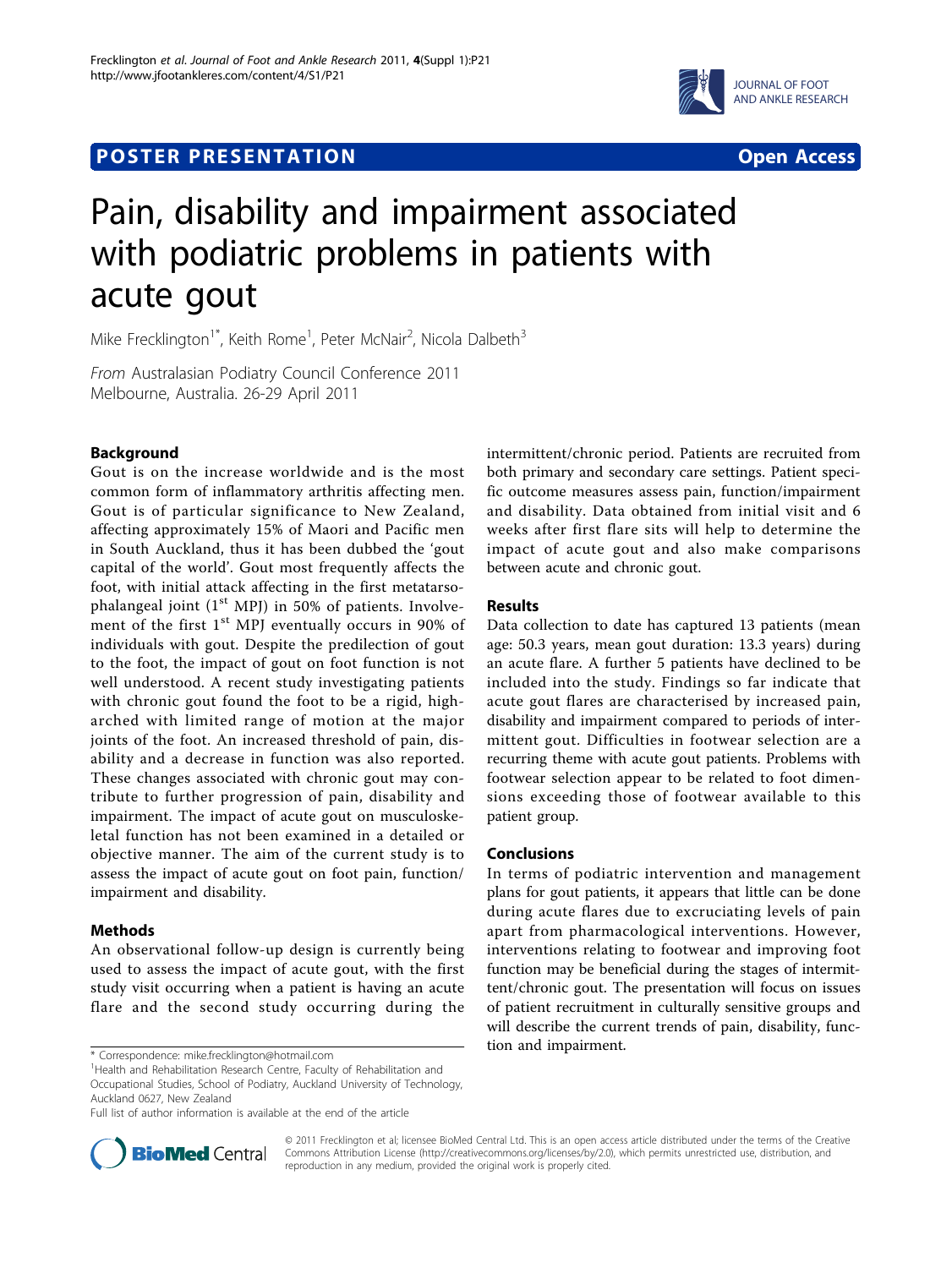# **POSTER PRESENTATION CONSUMING THE SERVICE SERVICE SERVICES**



# Pain, disability and impairment associated with podiatric problems in patients with acute gout

Mike Frecklington<sup>1\*</sup>, Keith Rome<sup>1</sup>, Peter McNair<sup>2</sup>, Nicola Dalbeth<sup>3</sup>

From Australasian Podiatry Council Conference 2011 Melbourne, Australia. 26-29 April 2011

## Background

Gout is on the increase worldwide and is the most common form of inflammatory arthritis affecting men. Gout is of particular significance to New Zealand, affecting approximately 15% of Maori and Pacific men in South Auckland, thus it has been dubbed the 'gout capital of the world'. Gout most frequently affects the foot, with initial attack affecting in the first metatarsophalangeal joint  $(1<sup>st</sup> MPJ)$  in 50% of patients. Involvement of the first  $1<sup>st</sup>$  MPJ eventually occurs in 90% of individuals with gout. Despite the predilection of gout to the foot, the impact of gout on foot function is not well understood. A recent study investigating patients with chronic gout found the foot to be a rigid, higharched with limited range of motion at the major joints of the foot. An increased threshold of pain, disability and a decrease in function was also reported. These changes associated with chronic gout may contribute to further progression of pain, disability and impairment. The impact of acute gout on musculoskeletal function has not been examined in a detailed or objective manner. The aim of the current study is to assess the impact of acute gout on foot pain, function/ impairment and disability.

### Methods

An observational follow-up design is currently being used to assess the impact of acute gout, with the first study visit occurring when a patient is having an acute flare and the second study occurring during the

tion and impairment. \* Correspondence: [mike.frecklington@hotmail.com](mailto:mike.frecklington@hotmail.com)

<sup>1</sup> Health and Rehabilitation Research Centre, Faculty of Rehabilitation and Occupational Studies, School of Podiatry, Auckland University of Technology,

Auckland 0627, New Zealand Full list of author information is available at the end of the article intermittent/chronic period. Patients are recruited from both primary and secondary care settings. Patient specific outcome measures assess pain, function/impairment and disability. Data obtained from initial visit and 6 weeks after first flare sits will help to determine the impact of acute gout and also make comparisons between acute and chronic gout.

### Results

Data collection to date has captured 13 patients (mean age: 50.3 years, mean gout duration: 13.3 years) during an acute flare. A further 5 patients have declined to be included into the study. Findings so far indicate that acute gout flares are characterised by increased pain, disability and impairment compared to periods of intermittent gout. Difficulties in footwear selection are a recurring theme with acute gout patients. Problems with footwear selection appear to be related to foot dimensions exceeding those of footwear available to this patient group.

### Conclusions

In terms of podiatric intervention and management plans for gout patients, it appears that little can be done during acute flares due to excruciating levels of pain apart from pharmacological interventions. However, interventions relating to footwear and improving foot function may be beneficial during the stages of intermittent/chronic gout. The presentation will focus on issues of patient recruitment in culturally sensitive groups and will describe the current trends of pain, disability, func-



© 2011 Frecklington et al; licensee BioMed Central Ltd. This is an open access article distributed under the terms of the Creative Commons Attribution License [\(http://creativecommons.org/licenses/by/2.0](http://creativecommons.org/licenses/by/2.0)), which permits unrestricted use, distribution, and reproduction in any medium, provided the original work is properly cited.